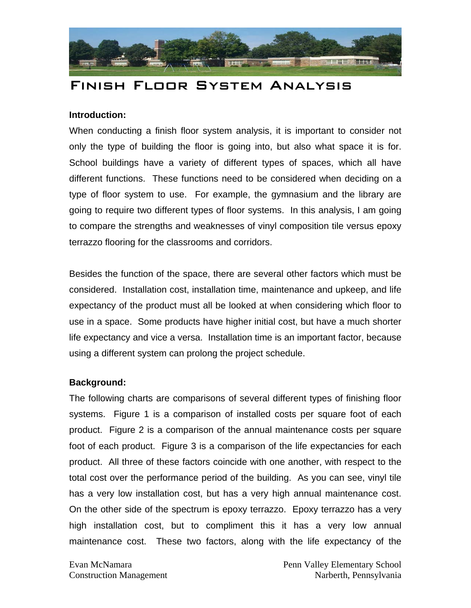

# Finish Floor System Analysis

## **Introduction:**

When conducting a finish floor system analysis, it is important to consider not only the type of building the floor is going into, but also what space it is for. School buildings have a variety of different types of spaces, which all have different functions. These functions need to be considered when deciding on a type of floor system to use. For example, the gymnasium and the library are going to require two different types of floor systems. In this analysis, I am going to compare the strengths and weaknesses of vinyl composition tile versus epoxy terrazzo flooring for the classrooms and corridors.

Besides the function of the space, there are several other factors which must be considered. Installation cost, installation time, maintenance and upkeep, and life expectancy of the product must all be looked at when considering which floor to use in a space. Some products have higher initial cost, but have a much shorter life expectancy and vice a versa. Installation time is an important factor, because using a different system can prolong the project schedule.

## **Background:**

The following charts are comparisons of several different types of finishing floor systems. Figure 1 is a comparison of installed costs per square foot of each product. Figure 2 is a comparison of the annual maintenance costs per square foot of each product. Figure 3 is a comparison of the life expectancies for each product. All three of these factors coincide with one another, with respect to the total cost over the performance period of the building. As you can see, vinyl tile has a very low installation cost, but has a very high annual maintenance cost. On the other side of the spectrum is epoxy terrazzo. Epoxy terrazzo has a very high installation cost, but to compliment this it has a very low annual maintenance cost. These two factors, along with the life expectancy of the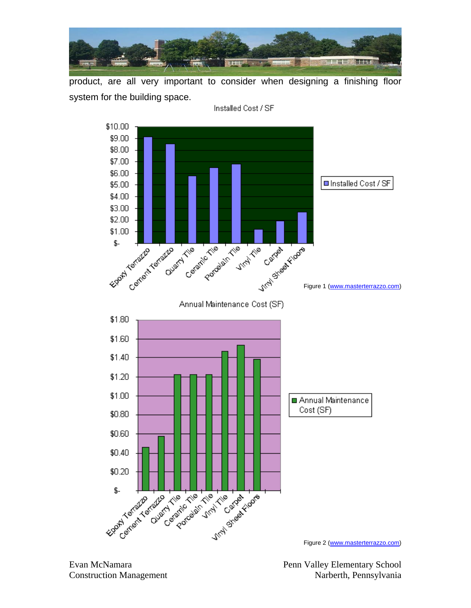

product, are all very important to consider when designing a finishing floor system for the building space.



Installed Cost / SF

Evan McNamara **Penn Valley Elementary School** Construction Management Narberth, Pennsylvania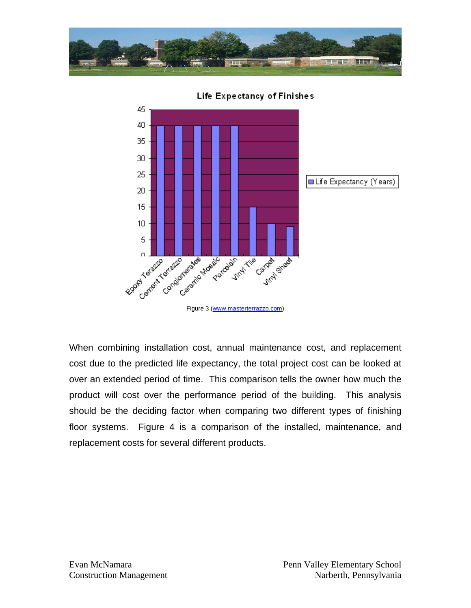

45 40 35 30 25 **■Life Expectancy (Years)** 20 15  $10$ 5 Clarente de Paris 16 Figure 3 (www.masterterrazzo.com) Completed Marie of Economic Campaign **Architect Michael** Condition

Life Expectancy of Finishes

When combining installation cost, annual maintenance cost, and replacement cost due to the predicted life expectancy, the total project cost can be looked at over an extended period of time. This comparison tells the owner how much the product will cost over the performance period of the building. This analysis should be the deciding factor when comparing two different types of finishing floor systems. Figure 4 is a comparison of the installed, maintenance, and replacement costs for several different products.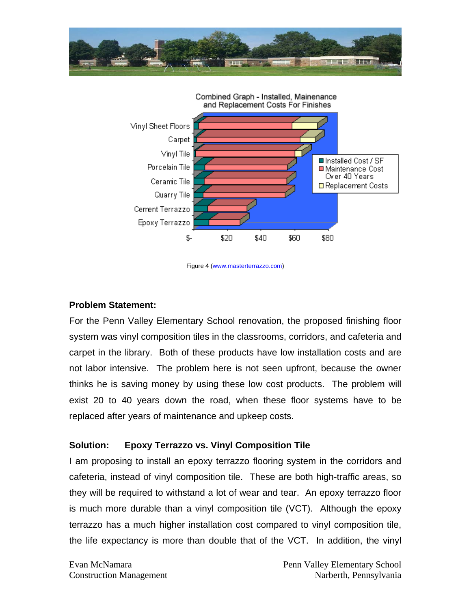



Figure 4 (www.masterterrazzo.com)

#### **Problem Statement:**

For the Penn Valley Elementary School renovation, the proposed finishing floor system was vinyl composition tiles in the classrooms, corridors, and cafeteria and carpet in the library. Both of these products have low installation costs and are not labor intensive. The problem here is not seen upfront, because the owner thinks he is saving money by using these low cost products. The problem will exist 20 to 40 years down the road, when these floor systems have to be replaced after years of maintenance and upkeep costs.

# **Solution: Epoxy Terrazzo vs. Vinyl Composition Tile**

I am proposing to install an epoxy terrazzo flooring system in the corridors and cafeteria, instead of vinyl composition tile. These are both high-traffic areas, so they will be required to withstand a lot of wear and tear. An epoxy terrazzo floor is much more durable than a vinyl composition tile (VCT). Although the epoxy terrazzo has a much higher installation cost compared to vinyl composition tile, the life expectancy is more than double that of the VCT. In addition, the vinyl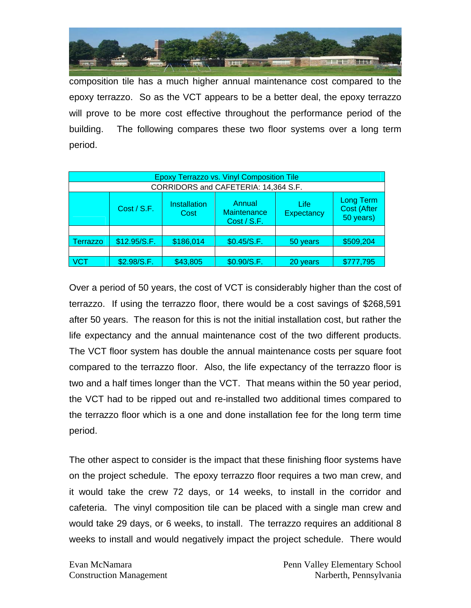

composition tile has a much higher annual maintenance cost compared to the epoxy terrazzo. So as the VCT appears to be a better deal, the epoxy terrazzo will prove to be more cost effective throughout the performance period of the building. The following compares these two floor systems over a long term period.

| <b>Epoxy Terrazzo vs. Vinyl Composition Tile</b> |              |                             |                                      |                           |                                                     |  |  |  |  |
|--------------------------------------------------|--------------|-----------------------------|--------------------------------------|---------------------------|-----------------------------------------------------|--|--|--|--|
| CORRIDORS and CAFETERIA: 14,364 S.F.             |              |                             |                                      |                           |                                                     |  |  |  |  |
|                                                  | Cost / S.F.  | <b>Installation</b><br>Cost | Annual<br>Maintenance<br>Cost / S.F. | Life<br><b>Expectancy</b> | <b>Long Term</b><br><b>Cost (After</b><br>50 years) |  |  |  |  |
|                                                  |              |                             |                                      |                           |                                                     |  |  |  |  |
| Terrazzo                                         | \$12.95/S.F. | \$186,014                   | \$0.45/S.F.                          | 50 years                  | \$509,204                                           |  |  |  |  |
|                                                  |              |                             |                                      |                           |                                                     |  |  |  |  |
| <b>VCT</b>                                       | \$2.98/S.F.  | \$43,805                    | \$0.90/S.F.                          | 20 years                  | \$777,795                                           |  |  |  |  |

Over a period of 50 years, the cost of VCT is considerably higher than the cost of terrazzo. If using the terrazzo floor, there would be a cost savings of \$268,591 after 50 years. The reason for this is not the initial installation cost, but rather the life expectancy and the annual maintenance cost of the two different products. The VCT floor system has double the annual maintenance costs per square foot compared to the terrazzo floor. Also, the life expectancy of the terrazzo floor is two and a half times longer than the VCT. That means within the 50 year period, the VCT had to be ripped out and re-installed two additional times compared to the terrazzo floor which is a one and done installation fee for the long term time period.

The other aspect to consider is the impact that these finishing floor systems have on the project schedule. The epoxy terrazzo floor requires a two man crew, and it would take the crew 72 days, or 14 weeks, to install in the corridor and cafeteria. The vinyl composition tile can be placed with a single man crew and would take 29 days, or 6 weeks, to install. The terrazzo requires an additional 8 weeks to install and would negatively impact the project schedule. There would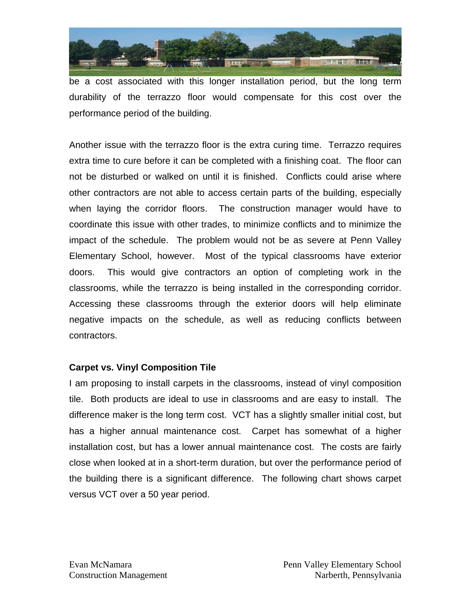

be a cost associated with this longer installation period, but the long term durability of the terrazzo floor would compensate for this cost over the performance period of the building.

Another issue with the terrazzo floor is the extra curing time. Terrazzo requires extra time to cure before it can be completed with a finishing coat. The floor can not be disturbed or walked on until it is finished. Conflicts could arise where other contractors are not able to access certain parts of the building, especially when laying the corridor floors. The construction manager would have to coordinate this issue with other trades, to minimize conflicts and to minimize the impact of the schedule. The problem would not be as severe at Penn Valley Elementary School, however. Most of the typical classrooms have exterior doors. This would give contractors an option of completing work in the classrooms, while the terrazzo is being installed in the corresponding corridor. Accessing these classrooms through the exterior doors will help eliminate negative impacts on the schedule, as well as reducing conflicts between contractors.

# **Carpet vs. Vinyl Composition Tile**

I am proposing to install carpets in the classrooms, instead of vinyl composition tile. Both products are ideal to use in classrooms and are easy to install. The difference maker is the long term cost. VCT has a slightly smaller initial cost, but has a higher annual maintenance cost. Carpet has somewhat of a higher installation cost, but has a lower annual maintenance cost. The costs are fairly close when looked at in a short-term duration, but over the performance period of the building there is a significant difference. The following chart shows carpet versus VCT over a 50 year period.